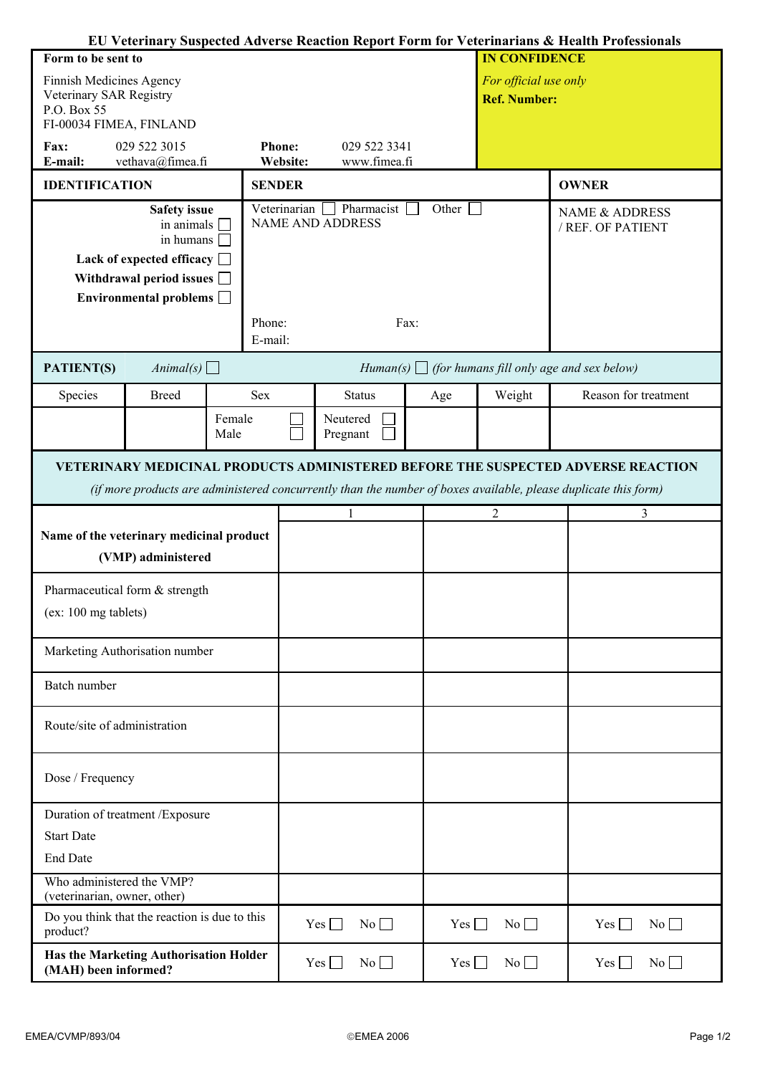|                                                                |                                                                  |        |                                                          |                                                                |            |                       |                     |                      | EU Veterinary Suspected Adverse Reaction Report Form for Veterinarians & Health Professionals                   |  |
|----------------------------------------------------------------|------------------------------------------------------------------|--------|----------------------------------------------------------|----------------------------------------------------------------|------------|-----------------------|---------------------|----------------------|-----------------------------------------------------------------------------------------------------------------|--|
| Form to be sent to                                             |                                                                  |        |                                                          |                                                                |            |                       |                     | <b>IN CONFIDENCE</b> |                                                                                                                 |  |
| Finnish Medicines Agency                                       |                                                                  |        |                                                          |                                                                |            | For official use only |                     |                      |                                                                                                                 |  |
| Veterinary SAR Registry<br>P.O. Box 55                         |                                                                  |        |                                                          |                                                                |            |                       | <b>Ref. Number:</b> |                      |                                                                                                                 |  |
| FI-00034 FIMEA, FINLAND                                        |                                                                  |        |                                                          |                                                                |            |                       |                     |                      |                                                                                                                 |  |
| 029 522 3015<br>Fax:                                           |                                                                  |        |                                                          | <b>Phone:</b><br>029 522 3341                                  |            |                       |                     |                      |                                                                                                                 |  |
| vethava@fimea.fi<br>E-mail:                                    |                                                                  |        |                                                          | Website:                                                       |            | www.fimea.fi          |                     |                      |                                                                                                                 |  |
| <b>IDENTIFICATION</b>                                          |                                                                  |        |                                                          | <b>SENDER</b>                                                  |            |                       |                     |                      | <b>OWNER</b>                                                                                                    |  |
|                                                                | <b>Safety</b> issue<br>in animals                                |        |                                                          | Pharmacist<br>Other<br>Veterinarian<br><b>NAME AND ADDRESS</b> |            |                       |                     |                      | <b>NAME &amp; ADDRESS</b><br>/ REF. OF PATIENT                                                                  |  |
|                                                                | in humans [                                                      |        |                                                          |                                                                |            |                       |                     |                      |                                                                                                                 |  |
| Lack of expected efficacy $\Box$                               |                                                                  |        |                                                          |                                                                |            |                       |                     |                      |                                                                                                                 |  |
|                                                                | Withdrawal period issues $\Box$<br>Environmental problems $\Box$ |        |                                                          |                                                                |            |                       |                     |                      |                                                                                                                 |  |
|                                                                |                                                                  |        |                                                          |                                                                |            |                       |                     |                      |                                                                                                                 |  |
|                                                                |                                                                  |        |                                                          | Phone:<br>Fax:<br>E-mail:                                      |            |                       |                     |                      |                                                                                                                 |  |
| PATIENT(S)                                                     | Animal(s) $\Box$                                                 |        | Human(s) $\Box$ (for humans fill only age and sex below) |                                                                |            |                       |                     |                      |                                                                                                                 |  |
| Species                                                        | <b>Breed</b>                                                     |        | Sex                                                      |                                                                |            | <b>Status</b>         | Age                 | Weight               | Reason for treatment                                                                                            |  |
|                                                                |                                                                  | Female |                                                          |                                                                | Neutered   |                       |                     |                      |                                                                                                                 |  |
|                                                                |                                                                  | Male   |                                                          |                                                                | Pregnant   |                       |                     |                      |                                                                                                                 |  |
|                                                                |                                                                  |        |                                                          |                                                                |            |                       |                     |                      | VETERINARY MEDICINAL PRODUCTS ADMINISTERED BEFORE THE SUSPECTED ADVERSE REACTION                                |  |
|                                                                |                                                                  |        |                                                          |                                                                |            |                       |                     |                      | (if more products are administered concurrently than the number of boxes available, please duplicate this form) |  |
|                                                                |                                                                  |        |                                                          |                                                                |            |                       |                     | $\overline{2}$       | 3                                                                                                               |  |
| Name of the veterinary medicinal product                       |                                                                  |        |                                                          |                                                                |            |                       |                     |                      |                                                                                                                 |  |
|                                                                | (VMP) administered                                               |        |                                                          |                                                                |            |                       |                     |                      |                                                                                                                 |  |
|                                                                |                                                                  |        |                                                          |                                                                |            |                       |                     |                      |                                                                                                                 |  |
| Pharmaceutical form & strength                                 |                                                                  |        |                                                          |                                                                |            |                       |                     |                      |                                                                                                                 |  |
| (ex: 100 mg tablets)                                           |                                                                  |        |                                                          |                                                                |            |                       |                     |                      |                                                                                                                 |  |
|                                                                |                                                                  |        |                                                          |                                                                |            |                       |                     |                      |                                                                                                                 |  |
|                                                                | Marketing Authorisation number                                   |        |                                                          |                                                                |            |                       |                     |                      |                                                                                                                 |  |
| Batch number                                                   |                                                                  |        |                                                          |                                                                |            |                       |                     |                      |                                                                                                                 |  |
| Route/site of administration                                   |                                                                  |        |                                                          |                                                                |            |                       |                     |                      |                                                                                                                 |  |
| Dose / Frequency                                               |                                                                  |        |                                                          |                                                                |            |                       |                     |                      |                                                                                                                 |  |
| Duration of treatment / Exposure                               |                                                                  |        |                                                          |                                                                |            |                       |                     |                      |                                                                                                                 |  |
| <b>Start Date</b>                                              |                                                                  |        |                                                          |                                                                |            |                       |                     |                      |                                                                                                                 |  |
| <b>End Date</b>                                                |                                                                  |        |                                                          |                                                                |            |                       |                     |                      |                                                                                                                 |  |
| Who administered the VMP?<br>(veterinarian, owner, other)      |                                                                  |        |                                                          |                                                                |            |                       |                     |                      |                                                                                                                 |  |
| Do you think that the reaction is due to this<br>product?      |                                                                  |        |                                                          |                                                                | Yes $\Box$ | No                    | Yes $\Box$          | No                   | No<br>$Yes \Box$                                                                                                |  |
|                                                                |                                                                  |        |                                                          |                                                                |            |                       |                     |                      |                                                                                                                 |  |
| Has the Marketing Authorisation Holder<br>(MAH) been informed? |                                                                  |        |                                                          |                                                                | $Yes \Box$ | No                    | Yes $\Box$          | No                   | No<br>$Yes \Box$                                                                                                |  |